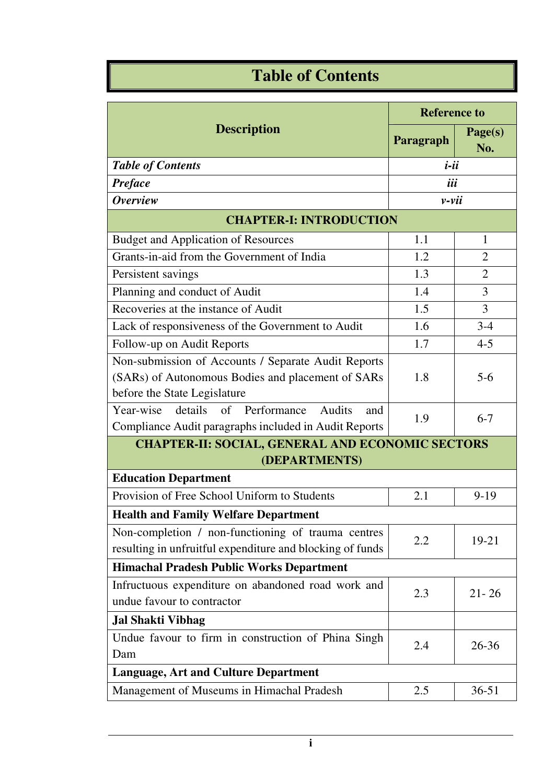## **Table of Contents**

| <b>Description</b>                                                                | <b>Reference to</b> |                |  |  |
|-----------------------------------------------------------------------------------|---------------------|----------------|--|--|
|                                                                                   | Paragraph           | Page(s)<br>No. |  |  |
| <b>Table of Contents</b>                                                          | $i$ -ii             |                |  |  |
| <b>Preface</b>                                                                    | iii                 |                |  |  |
| <b>Overview</b>                                                                   | $\nu$ -vii          |                |  |  |
| <b>CHAPTER-I: INTRODUCTION</b>                                                    |                     |                |  |  |
| <b>Budget and Application of Resources</b>                                        | 1.1                 | $\mathbf{1}$   |  |  |
| Grants-in-aid from the Government of India                                        | 1.2                 | $\overline{2}$ |  |  |
| Persistent savings                                                                | 1.3                 | $\overline{2}$ |  |  |
| Planning and conduct of Audit                                                     | 1.4                 | $\overline{3}$ |  |  |
| Recoveries at the instance of Audit                                               | 1.5                 | $\overline{3}$ |  |  |
| Lack of responsiveness of the Government to Audit                                 | 1.6                 | $3 - 4$        |  |  |
| Follow-up on Audit Reports                                                        | 1.7                 | $4 - 5$        |  |  |
| Non-submission of Accounts / Separate Audit Reports                               | 1.8                 | $5 - 6$        |  |  |
| (SARs) of Autonomous Bodies and placement of SARs<br>before the State Legislature |                     |                |  |  |
| details<br>of Performance<br>Year-wise<br>Audits<br>and                           | 1.9                 | $6 - 7$        |  |  |
| Compliance Audit paragraphs included in Audit Reports                             |                     |                |  |  |
| <b>CHAPTER-II: SOCIAL, GENERAL AND ECONOMIC SECTORS</b>                           |                     |                |  |  |
| (DEPARTMENTS)                                                                     |                     |                |  |  |
| <b>Education Department</b>                                                       |                     |                |  |  |
| Provision of Free School Uniform to Students                                      | 2.1                 | $9 - 19$       |  |  |
| <b>Health and Family Welfare Department</b>                                       |                     |                |  |  |
| Non-completion / non-functioning of trauma centres                                | 2.2                 | 19-21          |  |  |
| resulting in unfruitful expenditure and blocking of funds                         |                     |                |  |  |
| <b>Himachal Pradesh Public Works Department</b>                                   |                     |                |  |  |
| Infructuous expenditure on abandoned road work and<br>undue favour to contractor  | 2.3                 | $21 - 26$      |  |  |
|                                                                                   |                     |                |  |  |
| <b>Jal Shakti Vibhag</b>                                                          |                     |                |  |  |
| Undue favour to firm in construction of Phina Singh<br>Dam                        | 2.4                 | $26 - 36$      |  |  |
| <b>Language, Art and Culture Department</b>                                       |                     |                |  |  |
| Management of Museums in Himachal Pradesh                                         | 2.5                 | $36 - 51$      |  |  |